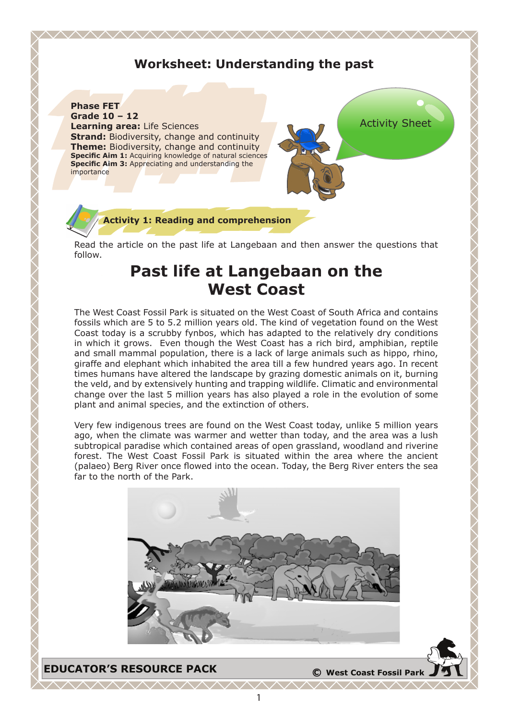# **Worksheet: Understanding the past**

<u>MMMMMMMMMMMMMMM</u>

**Phase FET Grade 10 – 12 Learning area:** Life Sciences **Strand:** Biodiversity, change and continuity **Theme:** Biodiversity, change and continuity **Specific Aim 1:** Acquiring knowledge of natural sciences **Specific Aim 3:** Appreciating and understanding the importance



### **Activity 1: Reading and comprehension**

Read the article on the past life at Langebaan and then answer the questions that follow.

# **Past life at Langebaan on the West Coast**

The West Coast Fossil Park is situated on the West Coast of South Africa and contains fossils which are 5 to 5.2 million years old. The kind of vegetation found on the West Coast today is a scrubby fynbos, which has adapted to the relatively dry conditions in which it grows. Even though the West Coast has a rich bird, amphibian, reptile and small mammal population, there is a lack of large animals such as hippo, rhino, giraffe and elephant which inhabited the area till a few hundred years ago. In recent times humans have altered the landscape by grazing domestic animals on it, burning the veld, and by extensively hunting and trapping wildlife. Climatic and environmental change over the last 5 million years has also played a role in the evolution of some plant and animal species, and the extinction of others.

Very few indigenous trees are found on the West Coast today, unlike 5 million years ago, when the climate was warmer and wetter than today, and the area was a lush subtropical paradise which contained areas of open grassland, woodland and riverine forest. The West Coast Fossil Park is situated within the area where the ancient (palaeo) Berg River once flowed into the ocean. Today, the Berg River enters the sea far to the north of the Park.

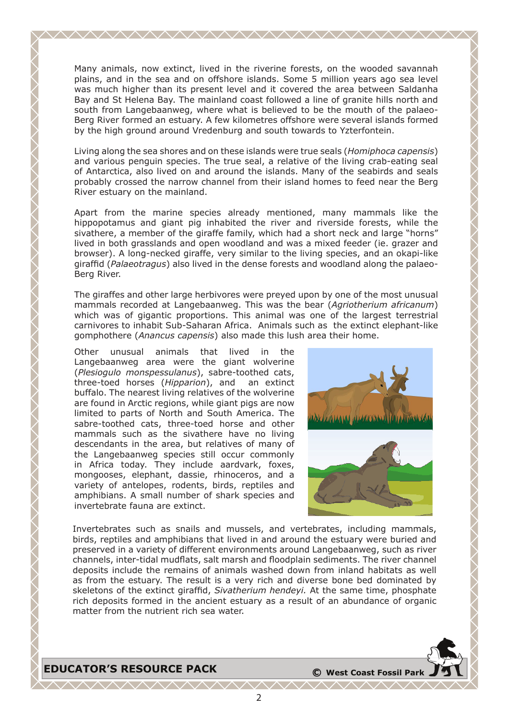Many animals, now extinct, lived in the riverine forests, on the wooded savannah plains, and in the sea and on offshore islands. Some 5 million years ago sea level was much higher than its present level and it covered the area between Saldanha Bay and St Helena Bay. The mainland coast followed a line of granite hills north and south from Langebaanweg, where what is believed to be the mouth of the palaeo-Berg River formed an estuary. A few kilometres offshore were several islands formed by the high ground around Vredenburg and south towards to Yzterfontein.

<u>AAAAAAAAAAAAAAAAAAAAAAAAA</u>

Living along the sea shores and on these islands were true seals (*Homiphoca capensis*) and various penguin species. The true seal, a relative of the living crab-eating seal of Antarctica, also lived on and around the islands. Many of the seabirds and seals probably crossed the narrow channel from their island homes to feed near the Berg River estuary on the mainland.

Apart from the marine species already mentioned, many mammals like the hippopotamus and giant pig inhabited the river and riverside forests, while the sivathere, a member of the giraffe family, which had a short neck and large "horns" lived in both grasslands and open woodland and was a mixed feeder (ie. grazer and browser). A long-necked giraffe, very similar to the living species, and an okapi-like giraffid (*Palaeotragus*) also lived in the dense forests and woodland along the palaeo-Berg River.

The giraffes and other large herbivores were preyed upon by one of the most unusual mammals recorded at Langebaanweg. This was the bear (*Agriotherium africanum*) which was of gigantic proportions. This animal was one of the largest terrestrial carnivores to inhabit Sub-Saharan Africa. Animals such as the extinct elephant-like gomphothere (*Anancus capensis*) also made this lush area their home.

Other unusual animals that lived in the Langebaanweg area were the giant wolverine (*Plesiogulo monspessulanus*), sabre-toothed cats, three-toed horses (*Hipparion*), and an extinct buffalo. The nearest living relatives of the wolverine are found in Arctic regions, while giant pigs are now limited to parts of North and South America. The sabre-toothed cats, three-toed horse and other mammals such as the sivathere have no living descendants in the area, but relatives of many of the Langebaanweg species still occur commonly in Africa today. They include aardvark, foxes, mongooses, elephant, dassie, rhinoceros, and a variety of antelopes, rodents, birds, reptiles and amphibians. A small number of shark species and invertebrate fauna are extinct.



Invertebrates such as snails and mussels, and vertebrates, including mammals, birds, reptiles and amphibians that lived in and around the estuary were buried and preserved in a variety of different environments around Langebaanweg, such as river channels, inter-tidal mudflats, salt marsh and floodplain sediments. The river channel deposits include the remains of animals washed down from inland habitats as well as from the estuary. The result is a very rich and diverse bone bed dominated by skeletons of the extinct giraffid, *Sivatherium hendeyi.* At the same time, phosphate rich deposits formed in the ancient estuary as a result of an abundance of organic matter from the nutrient rich sea water.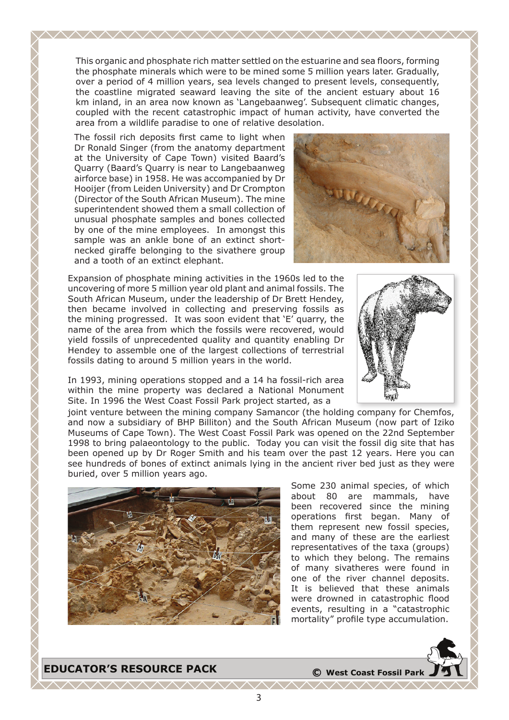This organic and phosphate rich matter settled on the estuarine and sea floors, forming the phosphate minerals which were to be mined some 5 million years later. Gradually, over a period of 4 million years, sea levels changed to present levels, consequently, the coastline migrated seaward leaving the site of the ancient estuary about 16 km inland, in an area now known as 'Langebaanweg'. Subsequent climatic changes, coupled with the recent catastrophic impact of human activity, have converted the area from a wildlife paradise to one of relative desolation.

The fossil rich deposits first came to light when Dr Ronald Singer (from the anatomy department at the University of Cape Town) visited Baard's Quarry (Baard's Quarry is near to Langebaanweg airforce base) in 1958. He was accompanied by Dr Hooijer (from Leiden University) and Dr Crompton (Director of the South African Museum). The mine superintendent showed them a small collection of unusual phosphate samples and bones collected by one of the mine employees. In amongst this sample was an ankle bone of an extinct shortnecked giraffe belonging to the sivathere group and a tooth of an extinct elephant.



Expansion of phosphate mining activities in the 1960s led to the uncovering of more 5 million year old plant and animal fossils. The South African Museum, under the leadership of Dr Brett Hendey, then became involved in collecting and preserving fossils as the mining progressed. It was soon evident that 'E' quarry, the name of the area from which the fossils were recovered, would yield fossils of unprecedented quality and quantity enabling Dr Hendey to assemble one of the largest collections of terrestrial fossils dating to around 5 million years in the world.

In 1993, mining operations stopped and a 14 ha fossil-rich area within the mine property was declared a National Monument Site. In 1996 the West Coast Fossil Park project started, as a



joint venture between the mining company Samancor (the holding company for Chemfos, and now a subsidiary of BHP Billiton) and the South African Museum (now part of Iziko Museums of Cape Town). The West Coast Fossil Park was opened on the 22nd September 1998 to bring palaeontology to the public. Today you can visit the fossil dig site that has been opened up by Dr Roger Smith and his team over the past 12 years. Here you can see hundreds of bones of extinct animals lying in the ancient river bed just as they were buried, over 5 million years ago.



Some 230 animal species, of which about 80 are mammals, have been recovered since the mining operations first began. Many of them represent new fossil species, and many of these are the earliest representatives of the taxa (groups) to which they belong. The remains of many sivatheres were found in one of the river channel deposits. It is believed that these animals were drowned in catastrophic flood events, resulting in a "catastrophic mortality" profile type accumulation.

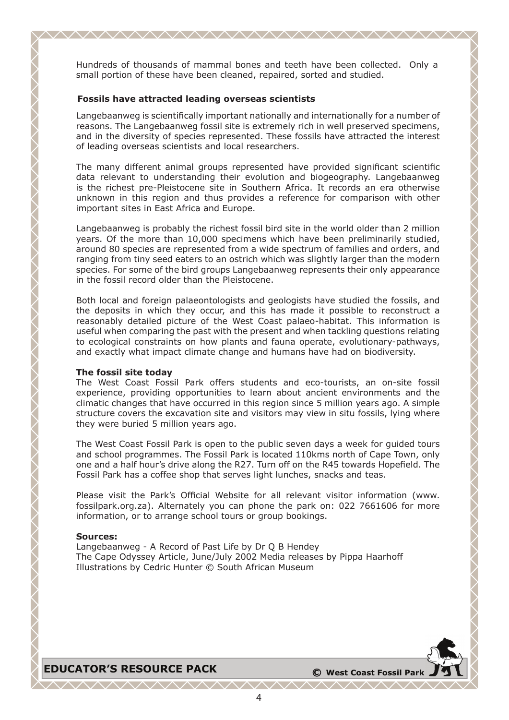Hundreds of thousands of mammal bones and teeth have been collected. Only a small portion of these have been cleaned, repaired, sorted and studied.

<u>AAAAAAAAAAAAAAAAAAAAAAAAAA</u>

#### **Fossils have attracted leading overseas scientists**

Langebaanweg is scientifically important nationally and internationally for a number of reasons. The Langebaanweg fossil site is extremely rich in well preserved specimens, and in the diversity of species represented. These fossils have attracted the interest of leading overseas scientists and local researchers.

The many different animal groups represented have provided significant scientific data relevant to understanding their evolution and biogeography. Langebaanweg is the richest pre-Pleistocene site in Southern Africa. It records an era otherwise unknown in this region and thus provides a reference for comparison with other important sites in East Africa and Europe.

Langebaanweg is probably the richest fossil bird site in the world older than 2 million years. Of the more than 10,000 specimens which have been preliminarily studied, around 80 species are represented from a wide spectrum of families and orders, and ranging from tiny seed eaters to an ostrich which was slightly larger than the modern species. For some of the bird groups Langebaanweg represents their only appearance in the fossil record older than the Pleistocene.

Both local and foreign palaeontologists and geologists have studied the fossils, and the deposits in which they occur, and this has made it possible to reconstruct a reasonably detailed picture of the West Coast palaeo-habitat. This information is useful when comparing the past with the present and when tackling questions relating to ecological constraints on how plants and fauna operate, evolutionary-pathways, and exactly what impact climate change and humans have had on biodiversity.

#### **The fossil site today**

The West Coast Fossil Park offers students and eco-tourists, an on-site fossil experience, providing opportunities to learn about ancient environments and the climatic changes that have occurred in this region since 5 million years ago. A simple structure covers the excavation site and visitors may view in situ fossils, lying where they were buried 5 million years ago.

The West Coast Fossil Park is open to the public seven days a week for guided tours and school programmes. The Fossil Park is located 110kms north of Cape Town, only one and a half hour's drive along the R27. Turn off on the R45 towards Hopefield. The Fossil Park has a coffee shop that serves light lunches, snacks and teas.

Please visit the Park's Official Website for all relevant visitor information (www. fossilpark.org.za). Alternately you can phone the park on: 022 7661606 for more information, or to arrange school tours or group bookings.

#### **Sources:**

Langebaanweg - A Record of Past Life by Dr Q B Hendey The Cape Odyssey Article, June/July 2002 Media releases by Pippa Haarhoff Illustrations by Cedric Hunter © South African Museum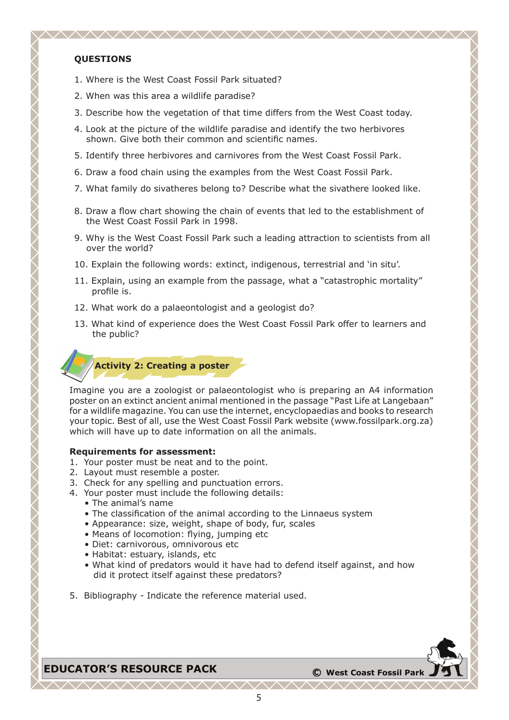#### **QUESTIONS**

- 1. Where is the West Coast Fossil Park situated?
- 2. When was this area a wildlife paradise?
- 3. Describe how the vegetation of that time differs from the West Coast today.

- 4. Look at the picture of the wildlife paradise and identify the two herbivores shown. Give both their common and scientific names.
- 5. Identify three herbivores and carnivores from the West Coast Fossil Park.
- 6. Draw a food chain using the examples from the West Coast Fossil Park.
- 7. What family do sivatheres belong to? Describe what the sivathere looked like.
- 8. Draw a flow chart showing the chain of events that led to the establishment of the West Coast Fossil Park in 1998.
- 9. Why is the West Coast Fossil Park such a leading attraction to scientists from all over the world?
- 10. Explain the following words: extinct, indigenous, terrestrial and 'in situ'.
- 11. Explain, using an example from the passage, what a "catastrophic mortality" profile is.
- 12. What work do a palaeontologist and a geologist do?
- 13. What kind of experience does the West Coast Fossil Park offer to learners and the public?



Imagine you are a zoologist or palaeontologist who is preparing an A4 information poster on an extinct ancient animal mentioned in the passage "Past Life at Langebaan" for a wildlife magazine. You can use the internet, encyclopaedias and books to research your topic. Best of all, use the West Coast Fossil Park website (www.fossilpark.org.za) which will have up to date information on all the animals.

#### **Requirements for assessment:**

- 1. Your poster must be neat and to the point.
- 2. Layout must resemble a poster.
- 3. Check for any spelling and punctuation errors.
- 4. Your poster must include the following details:
	- The animal's name
		- The classification of the animal according to the Linnaeus system
		- Appearance: size, weight, shape of body, fur, scales
		- Means of locomotion: flying, jumping etc
		- Diet: carnivorous, omnivorous etc
		- Habitat: estuary, islands, etc
		- What kind of predators would it have had to defend itself against, and how did it protect itself against these predators?
- 5. Bibliography Indicate the reference material used.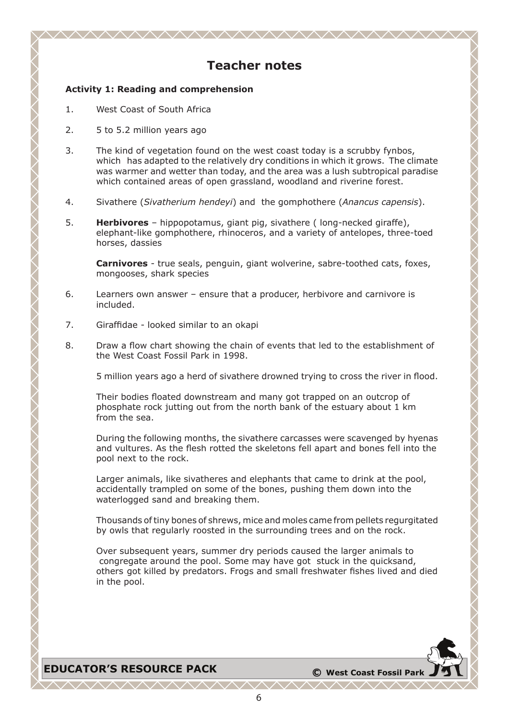# **Teacher notes**

<u>AAAAAAAAAAAAAAAAAAAAAAAAA</u>

#### **Activity 1: Reading and comprehension**

- 1. West Coast of South Africa
- 2. 5 to 5.2 million years ago
- 3. The kind of vegetation found on the west coast today is a scrubby fynbos, which has adapted to the relatively dry conditions in which it grows. The climate was warmer and wetter than today, and the area was a lush subtropical paradise which contained areas of open grassland, woodland and riverine forest.
- 4. Sivathere (*Sivatherium hendeyi*) and the gomphothere (*Anancus capensis*).
- 5. **Herbivores** hippopotamus, giant pig, sivathere ( long-necked giraffe), elephant-like gomphothere, rhinoceros, and a variety of antelopes, three-toed horses, dassies

**Carnivores** - true seals, penguin, giant wolverine, sabre-toothed cats, foxes, mongooses, shark species

- 6. Learners own answer ensure that a producer, herbivore and carnivore is included.
- 7. Giraffidae looked similar to an okapi
- 8. Draw a flow chart showing the chain of events that led to the establishment of the West Coast Fossil Park in 1998.

5 million years ago a herd of sivathere drowned trying to cross the river in flood.

Their bodies floated downstream and many got trapped on an outcrop of phosphate rock jutting out from the north bank of the estuary about 1 km from the sea.

During the following months, the sivathere carcasses were scavenged by hyenas and vultures. As the flesh rotted the skeletons fell apart and bones fell into the pool next to the rock.

Larger animals, like sivatheres and elephants that came to drink at the pool, accidentally trampled on some of the bones, pushing them down into the waterlogged sand and breaking them.

Thousands of tiny bones of shrews, mice and moles came from pellets regurgitated by owls that regularly roosted in the surrounding trees and on the rock.

Over subsequent years, summer dry periods caused the larger animals to congregate around the pool. Some may have got stuck in the quicksand, others got killed by predators. Frogs and small freshwater fishes lived and died in the pool.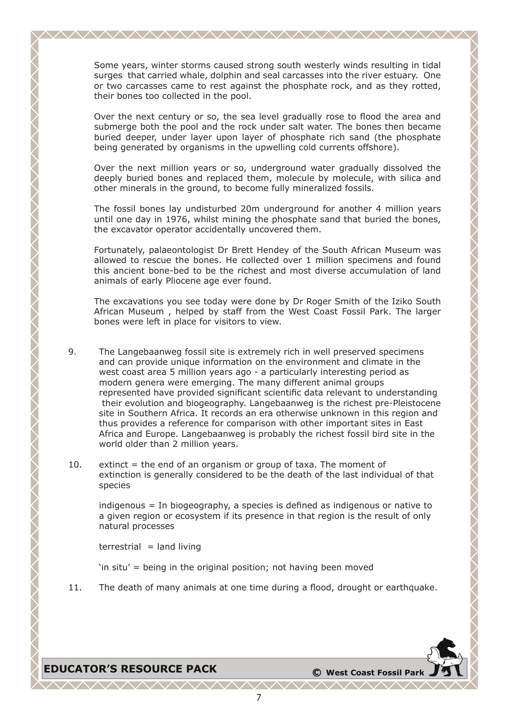Some years, winter storms caused strong south westerly winds resulting in tidal surges that carried whale, dolphin and seal carcasses into the river estuary. One or two carcasses came to rest against the phosphate rock, and as they rotted, their bones too collected in the pool.

Over the next century or so, the sea level gradually rose to flood the area and submerge both the pool and the rock under salt water. The bones then became buried deeper, under layer upon layer of phosphate rich sand (the phosphate being generated by organisms in the upwelling cold currents offshore).

Over the next million years or so, underground water gradually dissolved the deeply buried bones and replaced them, molecule by molecule, with silica and other minerals in the ground, to become fully mineralized fossils.

The fossil bones lay undisturbed 20m underground for another 4 million years until one day in 1976, whilst mining the phosphate sand that buried the bones, the excavator operator accidentally uncovered them.

Fortunately, palaeontologist Dr Brett Hendey of the South African Museum was allowed to rescue the bones. He collected over 1 million specimens and found this ancient bone-bed to be the richest and most diverse accumulation of land animals of early Pliocene age ever found.

The excavations you see today were done by Dr Roger Smith of the Iziko South African Museum , helped by staff from the West Coast Fossil Park. The larger bones were left in place for visitors to view.

- 9. The Langebaanweg fossil site is extremely rich in well preserved specimens and can provide unique information on the environment and climate in the west coast area 5 million years ago - a particularly interesting period as modern genera were emerging. The many different animal groups represented have provided significant scientific data relevant to understanding their evolution and biogeography. Langebaanweg is the richest pre-Pleistocene site in Southern Africa. It records an era otherwise unknown in this region and thus provides a reference for comparison with other important sites in East Africa and Europe. Langebaanweg is probably the richest fossil bird site in the world older than 2 million years.
- 10. extinct  $=$  the end of an organism or group of taxa. The moment of extinction is generally considered to be the death of the last individual of that species

indigenous = In biogeography, a species is defined as indigenous or native to a given region or ecosystem if its presence in that region is the result of only natural processes

 $terrestrial = land living$ 

'in situ' = being in the original position; not having been moved

11. The death of many animals at one time during a flood, drought or earthquake.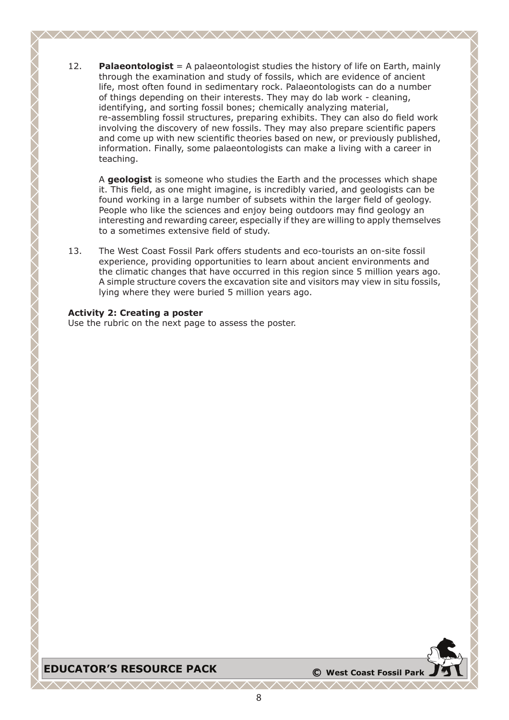12. **Palaeontologist** = A palaeontologist studies the history of life on Earth, mainly through the examination and study of fossils, which are evidence of ancient life, most often found in sedimentary rock. Palaeontologists can do a number of things depending on their interests. They may do lab work - cleaning, identifying, and sorting fossil bones; chemically analyzing material, re-assembling fossil structures, preparing exhibits. They can also do field work involving the discovery of new fossils. They may also prepare scientific papers and come up with new scientific theories based on new, or previously published, information. Finally, some palaeontologists can make a living with a career in teaching.

<u>AAAAAAAAAAAAAAAAAAAAAAAAAAAA</u>

A **geologist** is someone who studies the Earth and the processes which shape it. This field, as one might imagine, is incredibly varied, and geologists can be found working in a large number of subsets within the larger field of geology. People who like the sciences and enjoy being outdoors may find geology an interesting and rewarding career, especially if they are willing to apply themselves to a sometimes extensive field of study.

13. The West Coast Fossil Park offers students and eco-tourists an on-site fossil experience, providing opportunities to learn about ancient environments and the climatic changes that have occurred in this region since 5 million years ago. A simple structure covers the excavation site and visitors may view in situ fossils, lying where they were buried 5 million years ago.

#### **Activity 2: Creating a poster**

Use the rubric on the next page to assess the poster.